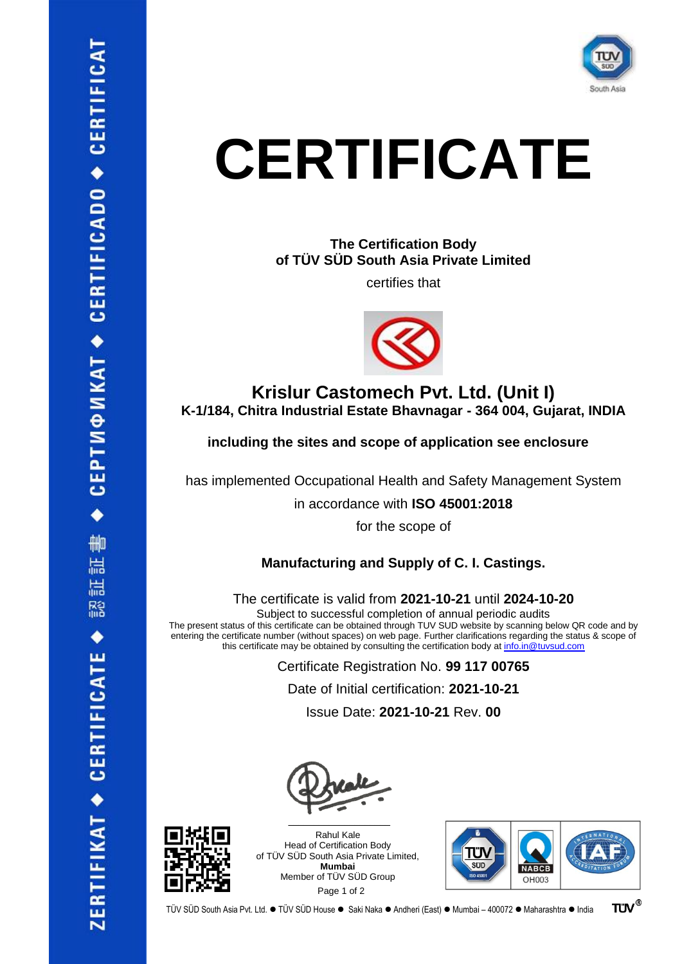

**The Certification Body of TÜV SÜD South Asia Private Limited**

certifies that



**Krislur Castomech Pvt. Ltd. (Unit I) K-1/184, Chitra Industrial Estate Bhavnagar - 364 004, Gujarat, INDIA**

**including the sites and scope of application see enclosure**

has implemented Occupational Health and Safety Management System

in accordance with **ISO 45001:2018**

for the scope of

**Manufacturing and Supply of C. I. Castings.**

The certificate is valid from **2021-10-21** until **2024-10-20**

Subject to successful completion of annual periodic audits The present status of this certificate can be obtained through TUV SUD website by scanning below QR code and by entering the certificate number (without spaces) on web page. Further clarifications regarding the status & scope of this certificate may be obtained by consulting the certification body at [info.in@tuvsud.com](mailto:info.in@tuvsud.com)

> Certificate Registration No. **99 117 00765** Date of Initial certification: **2021-10-21** Issue Date: **2021-10-21** Rev. **00**



 $\mathcal{L}=\mathcal{L}$  , we can also assume that the set of the set of the set of the set of the set of the set of the set of the set of the set of the set of the set of the set of the set of the set of the set of the set of the Rahul Kale Head of Certification Body of TÜV SÜD South Asia Private Limited, **Mumbai** Member of TÜV SÜD Group Page 1 of 2



TÜV SÜD South Asia Pvt. Ltd. ● TÜV SÜD House ● Saki Naka ● Andheri (East) ● Mumbai – 400072 ● Maharashtra ● India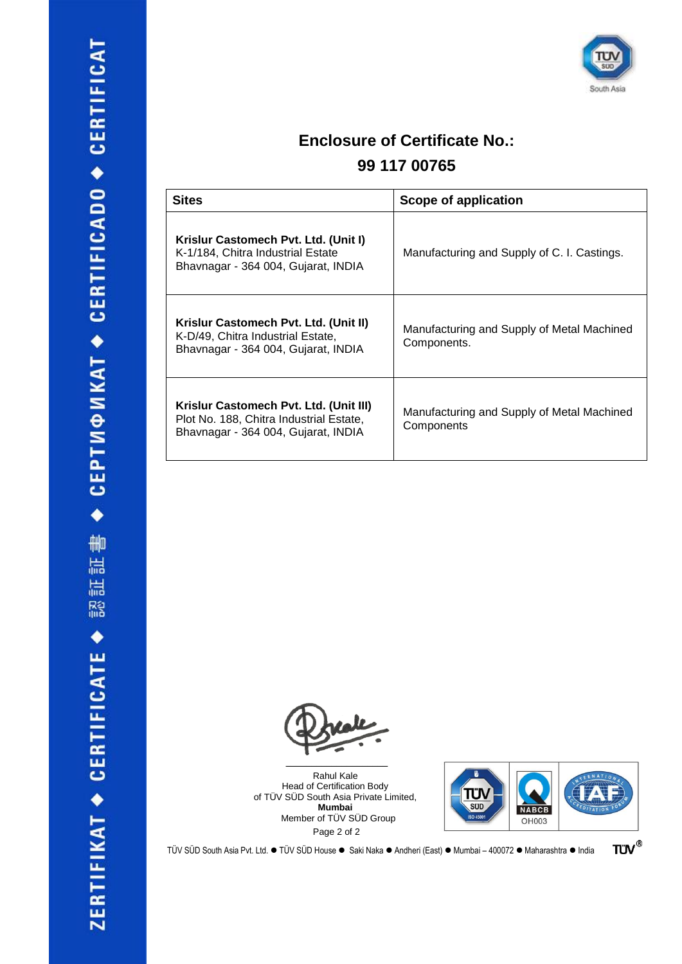

### **Enclosure of Certificate No.:**

### **99 117 00765**

| <b>Sites</b>                                                                                                             | Scope of application                                      |
|--------------------------------------------------------------------------------------------------------------------------|-----------------------------------------------------------|
| Krislur Castomech Pvt. Ltd. (Unit I)<br>K-1/184, Chitra Industrial Estate<br>Bhavnagar - 364 004, Gujarat, INDIA         | Manufacturing and Supply of C. I. Castings.               |
| Krislur Castomech Pvt. Ltd. (Unit II)<br>K-D/49, Chitra Industrial Estate,<br>Bhavnagar - 364 004, Gujarat, INDIA        | Manufacturing and Supply of Metal Machined<br>Components. |
| Krislur Castomech Pvt. Ltd. (Unit III)<br>Plot No. 188, Chitra Industrial Estate,<br>Bhavnagar - 364 004, Gujarat, INDIA | Manufacturing and Supply of Metal Machined<br>Components  |



Rahul Kale Head of Certification Body of TÜV SÜD South Asia Private Limited, **Mumbai** Member of TÜV SÜD Group Page 2 of 2



**TÜV®** TÜV SÜD South Asia Pvt. Ltd. ● TÜV SÜD House ● Saki Naka ● Andheri (East) ● Mumbai – 400072 ● Maharashtra ● India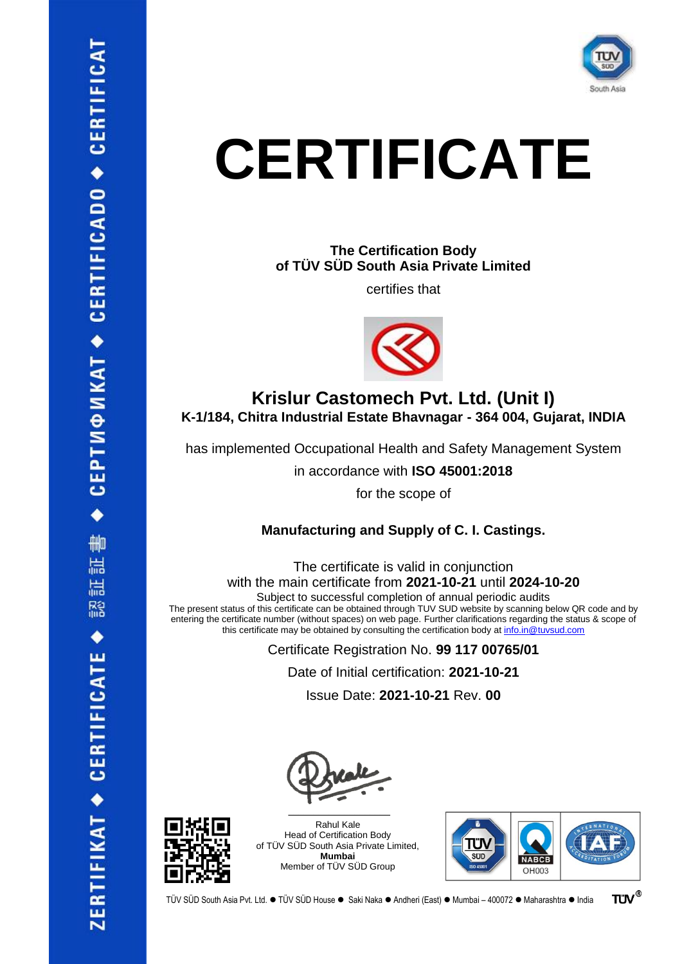

**The Certification Body of TÜV SÜD South Asia Private Limited**

certifies that



### **Krislur Castomech Pvt. Ltd. (Unit I) K-1/184, Chitra Industrial Estate Bhavnagar - 364 004, Gujarat, INDIA**

has implemented Occupational Health and Safety Management System

in accordance with **ISO 45001:2018**

for the scope of

**Manufacturing and Supply of C. I. Castings.**

The certificate is valid in conjunction with the main certificate from **2021-10-21** until **2024-10-20** Subject to successful completion of annual periodic audits The present status of this certificate can be obtained through TUV SUD website by scanning below QR code and by

entering the certificate number (without spaces) on web page. Further clarifications regarding the status & scope of this certificate may be obtained by consulting the certification body at [info.in@tuvsud.com](mailto:info.in@tuvsud.com)

Certificate Registration No. **99 117 00765/01**

Date of Initial certification: **2021-10-21**

Issue Date: **2021-10-21** Rev. **00**









**TUV®** TÜV SÜD South Asia Pvt. Ltd. ● TÜV SÜD House ● Saki Naka ● Andheri (East) ● Mumbai – 400072 ● Maharashtra ● India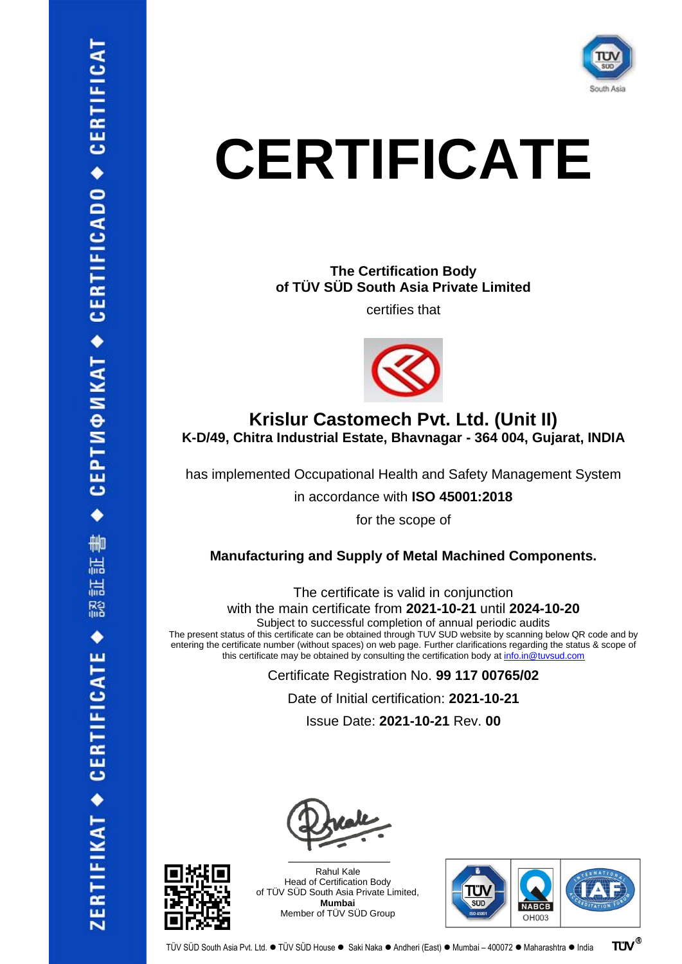

#### **The Certification Body of TÜV SÜD South Asia Private Limited**

certifies that



### **Krislur Castomech Pvt. Ltd. (Unit II) K-D/49, Chitra Industrial Estate, Bhavnagar - 364 004, Gujarat, INDIA**

has implemented Occupational Health and Safety Management System

in accordance with **ISO 45001:2018**

for the scope of

#### **Manufacturing and Supply of Metal Machined Components.**

The certificate is valid in conjunction with the main certificate from **2021-10-21** until **2024-10-20**

Subject to successful completion of annual periodic audits

The present status of this certificate can be obtained through TUV SUD website by scanning below QR code and by entering the certificate number (without spaces) on web page. Further clarifications regarding the status & scope of this certificate may be obtained by consulting the certification body at [info.in@tuvsud.com](mailto:info.in@tuvsud.com)

> Certificate Registration No. **99 117 00765/02** Date of Initial certification: **2021-10-21** Issue Date: **2021-10-21** Rev. **00**